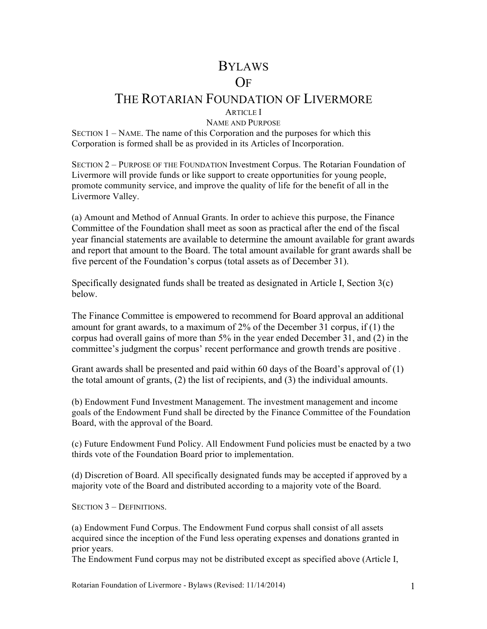# BYLAWS OF

## THE ROTARIAN FOUNDATION OF LIVERMORE

ARTICLE I

NAME AND PURPOSE

SECTION 1 – NAME. The name of this Corporation and the purposes for which this Corporation is formed shall be as provided in its Articles of Incorporation.

SECTION 2 – PURPOSE OF THE FOUNDATION Investment Corpus. The Rotarian Foundation of Livermore will provide funds or like support to create opportunities for young people, promote community service, and improve the quality of life for the benefit of all in the Livermore Valley.

(a) Amount and Method of Annual Grants. In order to achieve this purpose, the Finance Committee of the Foundation shall meet as soon as practical after the end of the fiscal year financial statements are available to determine the amount available for grant awards and report that amount to the Board. The total amount available for grant awards shall be five percent of the Foundation's corpus (total assets as of December 31).

Specifically designated funds shall be treated as designated in Article I, Section 3(c) below.

The Finance Committee is empowered to recommend for Board approval an additional amount for grant awards, to a maximum of 2% of the December 31 corpus, if (1) the corpus had overall gains of more than 5% in the year ended December 31, and (2) in the committee's judgment the corpus' recent performance and growth trends are positive .

Grant awards shall be presented and paid within 60 days of the Board's approval of (1) the total amount of grants, (2) the list of recipients, and (3) the individual amounts.

(b) Endowment Fund Investment Management. The investment management and income goals of the Endowment Fund shall be directed by the Finance Committee of the Foundation Board, with the approval of the Board.

(c) Future Endowment Fund Policy. All Endowment Fund policies must be enacted by a two thirds vote of the Foundation Board prior to implementation.

(d) Discretion of Board. All specifically designated funds may be accepted if approved by a majority vote of the Board and distributed according to a majority vote of the Board.

SECTION 3 – DEFINITIONS.

(a) Endowment Fund Corpus. The Endowment Fund corpus shall consist of all assets acquired since the inception of the Fund less operating expenses and donations granted in prior years.

The Endowment Fund corpus may not be distributed except as specified above (Article I,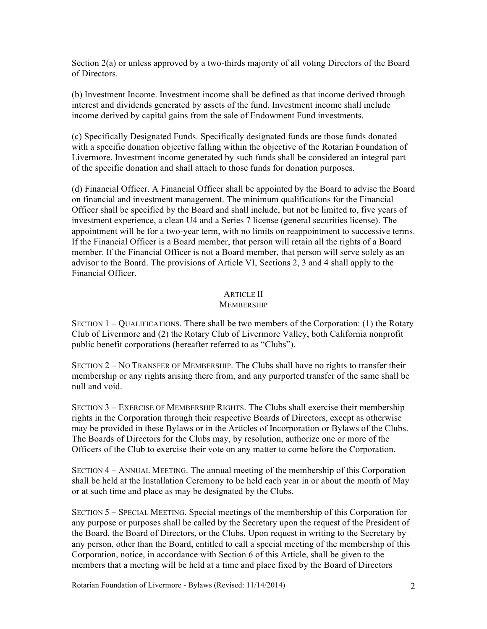Section 2(a) or unless approved by a two-thirds majority of all voting Directors of the Board of Directors.

(b) Investment Income. Investment income shall be defined as that income derived through interest and dividends generated by assets of the fund. Investment income shall include income derived by capital gains from the sale of Endowment Fund investments.

(c) Specifically Designated Funds. Specifically designated funds are those funds donated with a specific donation objective falling within the objective of the Rotarian Foundation of Livermore. Investment income generated by such funds shall be considered an integral part of the specific donation and shall attach to those funds for donation purposes.

(d) Financial Officer. A Financial Officer shall be appointed by the Board to advise the Board on financial and investment management. The minimum qualifications for the Financial Officer shall be specified by the Board and shall include, but not be limited to, five years of investment experience, a clean U4 and a Series 7 license (general securities license). The appointment will be for a two-year term, with no limits on reappointment to successive terms. If the Financial Officer is a Board member, that person will retain all the rights of a Board member. If the Financial Officer is not a Board member, that person will serve solely as an advisor to the Board. The provisions of Article VI, Sections 2, 3 and 4 shall apply to the Financial Officer.

## ARTICLE II

#### **MEMBERSHIP**

SECTION 1 – QUALIFICATIONS. There shall be two members of the Corporation: (1) the Rotary Club of Livermore and (2) the Rotary Club of Livermore Valley, both California nonprofit public benefit corporations (hereafter referred to as "Clubs").

SECTION 2 – NO TRANSFER OF MEMBERSHIP. The Clubs shall have no rights to transfer their membership or any rights arising there from, and any purported transfer of the same shall be null and void.

SECTION 3 – EXERCISE OF MEMBERSHIP RIGHTS. The Clubs shall exercise their membership rights in the Corporation through their respective Boards of Directors, except as otherwise may be provided in these Bylaws or in the Articles of Incorporation or Bylaws of the Clubs. The Boards of Directors for the Clubs may, by resolution, authorize one or more of the Officers of the Club to exercise their vote on any matter to come before the Corporation.

SECTION 4 – ANNUAL MEETING. The annual meeting of the membership of this Corporation shall be held at the Installation Ceremony to be held each year in or about the month of May or at such time and place as may be designated by the Clubs.

SECTION 5 – SPECIAL MEETING. Special meetings of the membership of this Corporation for any purpose or purposes shall be called by the Secretary upon the request of the President of the Board, the Board of Directors, or the Clubs. Upon request in writing to the Secretary by any person, other than the Board, entitled to call a special meeting of the membership of this Corporation, notice, in accordance with Section 6 of this Article, shall be given to the members that a meeting will be held at a time and place fixed by the Board of Directors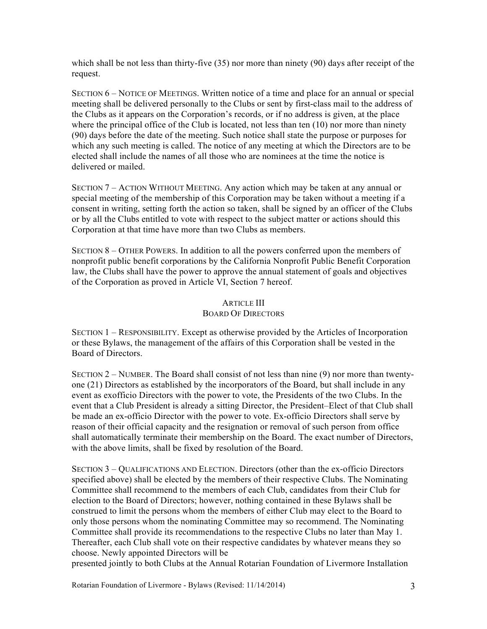which shall be not less than thirty-five (35) nor more than ninety (90) days after receipt of the request.

SECTION 6 – NOTICE OF MEETINGS. Written notice of a time and place for an annual or special meeting shall be delivered personally to the Clubs or sent by first-class mail to the address of the Clubs as it appears on the Corporation's records, or if no address is given, at the place where the principal office of the Club is located, not less than ten (10) nor more than ninety (90) days before the date of the meeting. Such notice shall state the purpose or purposes for which any such meeting is called. The notice of any meeting at which the Directors are to be elected shall include the names of all those who are nominees at the time the notice is delivered or mailed.

SECTION 7 – ACTION WITHOUT MEETING. Any action which may be taken at any annual or special meeting of the membership of this Corporation may be taken without a meeting if a consent in writing, setting forth the action so taken, shall be signed by an officer of the Clubs or by all the Clubs entitled to vote with respect to the subject matter or actions should this Corporation at that time have more than two Clubs as members.

SECTION 8 – OTHER POWERS. In addition to all the powers conferred upon the members of nonprofit public benefit corporations by the California Nonprofit Public Benefit Corporation law, the Clubs shall have the power to approve the annual statement of goals and objectives of the Corporation as proved in Article VI, Section 7 hereof.

## ARTICLE III

## BOARD OF DIRECTORS

SECTION 1 – RESPONSIBILITY. Except as otherwise provided by the Articles of Incorporation or these Bylaws, the management of the affairs of this Corporation shall be vested in the Board of Directors.

SECTION  $2$  – NUMBER. The Board shall consist of not less than nine (9) nor more than twentyone (21) Directors as established by the incorporators of the Board, but shall include in any event as exofficio Directors with the power to vote, the Presidents of the two Clubs. In the event that a Club President is already a sitting Director, the President–Elect of that Club shall be made an ex-officio Director with the power to vote. Ex-officio Directors shall serve by reason of their official capacity and the resignation or removal of such person from office shall automatically terminate their membership on the Board. The exact number of Directors, with the above limits, shall be fixed by resolution of the Board.

SECTION 3 – QUALIFICATIONS AND ELECTION. Directors (other than the ex-officio Directors specified above) shall be elected by the members of their respective Clubs. The Nominating Committee shall recommend to the members of each Club, candidates from their Club for election to the Board of Directors; however, nothing contained in these Bylaws shall be construed to limit the persons whom the members of either Club may elect to the Board to only those persons whom the nominating Committee may so recommend. The Nominating Committee shall provide its recommendations to the respective Clubs no later than May 1. Thereafter, each Club shall vote on their respective candidates by whatever means they so choose. Newly appointed Directors will be

presented jointly to both Clubs at the Annual Rotarian Foundation of Livermore Installation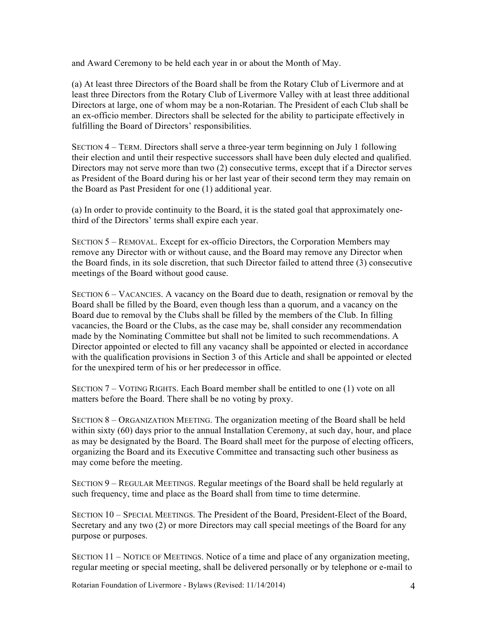and Award Ceremony to be held each year in or about the Month of May.

(a) At least three Directors of the Board shall be from the Rotary Club of Livermore and at least three Directors from the Rotary Club of Livermore Valley with at least three additional Directors at large, one of whom may be a non-Rotarian. The President of each Club shall be an ex-officio member. Directors shall be selected for the ability to participate effectively in fulfilling the Board of Directors' responsibilities.

SECTION 4 – TERM. Directors shall serve a three-year term beginning on July 1 following their election and until their respective successors shall have been duly elected and qualified. Directors may not serve more than two (2) consecutive terms, except that if a Director serves as President of the Board during his or her last year of their second term they may remain on the Board as Past President for one (1) additional year.

(a) In order to provide continuity to the Board, it is the stated goal that approximately onethird of the Directors' terms shall expire each year.

SECTION 5 – REMOVAL. Except for ex-officio Directors, the Corporation Members may remove any Director with or without cause, and the Board may remove any Director when the Board finds, in its sole discretion, that such Director failed to attend three (3) consecutive meetings of the Board without good cause.

SECTION 6 – VACANCIES. A vacancy on the Board due to death, resignation or removal by the Board shall be filled by the Board, even though less than a quorum, and a vacancy on the Board due to removal by the Clubs shall be filled by the members of the Club. In filling vacancies, the Board or the Clubs, as the case may be, shall consider any recommendation made by the Nominating Committee but shall not be limited to such recommendations. A Director appointed or elected to fill any vacancy shall be appointed or elected in accordance with the qualification provisions in Section 3 of this Article and shall be appointed or elected for the unexpired term of his or her predecessor in office.

SECTION 7 – VOTING RIGHTS. Each Board member shall be entitled to one (1) vote on all matters before the Board. There shall be no voting by proxy.

SECTION 8 – ORGANIZATION MEETING. The organization meeting of the Board shall be held within sixty (60) days prior to the annual Installation Ceremony, at such day, hour, and place as may be designated by the Board. The Board shall meet for the purpose of electing officers, organizing the Board and its Executive Committee and transacting such other business as may come before the meeting.

SECTION 9 – REGULAR MEETINGS. Regular meetings of the Board shall be held regularly at such frequency, time and place as the Board shall from time to time determine.

SECTION 10 – SPECIAL MEETINGS. The President of the Board, President-Elect of the Board, Secretary and any two (2) or more Directors may call special meetings of the Board for any purpose or purposes.

SECTION 11 – NOTICE OF MEETINGS. Notice of a time and place of any organization meeting, regular meeting or special meeting, shall be delivered personally or by telephone or e-mail to

Rotarian Foundation of Livermore - Bylaws (Revised: 11/14/2014) 4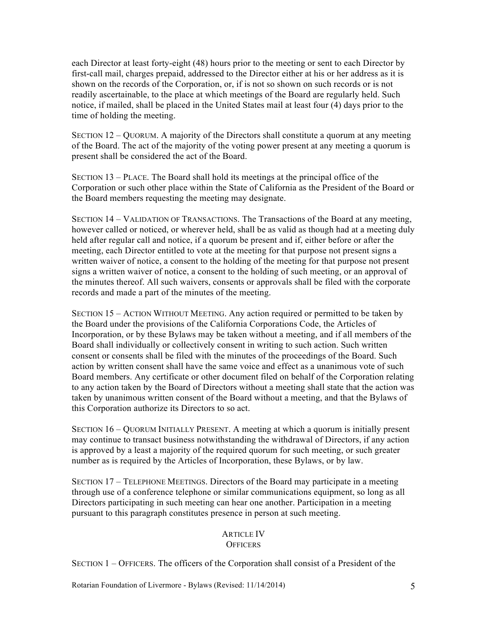each Director at least forty-eight (48) hours prior to the meeting or sent to each Director by first-call mail, charges prepaid, addressed to the Director either at his or her address as it is shown on the records of the Corporation, or, if is not so shown on such records or is not readily ascertainable, to the place at which meetings of the Board are regularly held. Such notice, if mailed, shall be placed in the United States mail at least four (4) days prior to the time of holding the meeting.

SECTION 12 – QUORUM. A majority of the Directors shall constitute a quorum at any meeting of the Board. The act of the majority of the voting power present at any meeting a quorum is present shall be considered the act of the Board.

SECTION 13 – PLACE. The Board shall hold its meetings at the principal office of the Corporation or such other place within the State of California as the President of the Board or the Board members requesting the meeting may designate.

SECTION 14 – VALIDATION OF TRANSACTIONS. The Transactions of the Board at any meeting, however called or noticed, or wherever held, shall be as valid as though had at a meeting duly held after regular call and notice, if a quorum be present and if, either before or after the meeting, each Director entitled to vote at the meeting for that purpose not present signs a written waiver of notice, a consent to the holding of the meeting for that purpose not present signs a written waiver of notice, a consent to the holding of such meeting, or an approval of the minutes thereof. All such waivers, consents or approvals shall be filed with the corporate records and made a part of the minutes of the meeting.

SECTION 15 – ACTION WITHOUT MEETING. Any action required or permitted to be taken by the Board under the provisions of the California Corporations Code, the Articles of Incorporation, or by these Bylaws may be taken without a meeting, and if all members of the Board shall individually or collectively consent in writing to such action. Such written consent or consents shall be filed with the minutes of the proceedings of the Board. Such action by written consent shall have the same voice and effect as a unanimous vote of such Board members. Any certificate or other document filed on behalf of the Corporation relating to any action taken by the Board of Directors without a meeting shall state that the action was taken by unanimous written consent of the Board without a meeting, and that the Bylaws of this Corporation authorize its Directors to so act.

SECTION 16 – QUORUM INITIALLY PRESENT. A meeting at which a quorum is initially present may continue to transact business notwithstanding the withdrawal of Directors, if any action is approved by a least a majority of the required quorum for such meeting, or such greater number as is required by the Articles of Incorporation, these Bylaws, or by law.

SECTION 17 – TELEPHONE MEETINGS. Directors of the Board may participate in a meeting through use of a conference telephone or similar communications equipment, so long as all Directors participating in such meeting can hear one another. Participation in a meeting pursuant to this paragraph constitutes presence in person at such meeting.

#### ARTICLE IV **OFFICERS**

SECTION 1 – OFFICERS. The officers of the Corporation shall consist of a President of the

Rotarian Foundation of Livermore - Bylaws (Revised: 11/14/2014) 5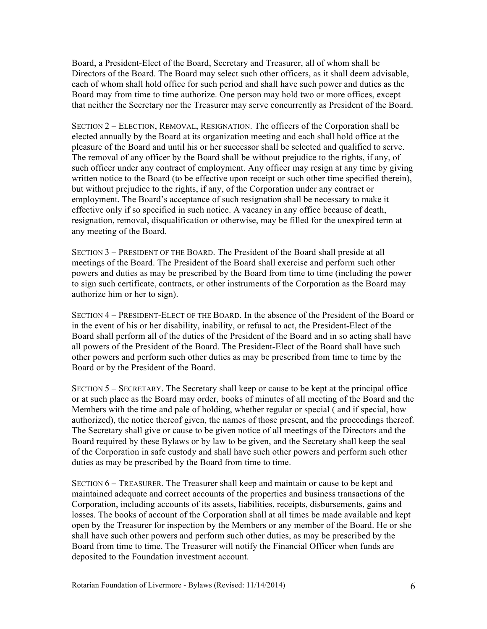Board, a President-Elect of the Board, Secretary and Treasurer, all of whom shall be Directors of the Board. The Board may select such other officers, as it shall deem advisable, each of whom shall hold office for such period and shall have such power and duties as the Board may from time to time authorize. One person may hold two or more offices, except that neither the Secretary nor the Treasurer may serve concurrently as President of the Board.

SECTION 2 – ELECTION, REMOVAL, RESIGNATION. The officers of the Corporation shall be elected annually by the Board at its organization meeting and each shall hold office at the pleasure of the Board and until his or her successor shall be selected and qualified to serve. The removal of any officer by the Board shall be without prejudice to the rights, if any, of such officer under any contract of employment. Any officer may resign at any time by giving written notice to the Board (to be effective upon receipt or such other time specified therein), but without prejudice to the rights, if any, of the Corporation under any contract or employment. The Board's acceptance of such resignation shall be necessary to make it effective only if so specified in such notice. A vacancy in any office because of death, resignation, removal, disqualification or otherwise, may be filled for the unexpired term at any meeting of the Board.

SECTION 3 – PRESIDENT OF THE BOARD. The President of the Board shall preside at all meetings of the Board. The President of the Board shall exercise and perform such other powers and duties as may be prescribed by the Board from time to time (including the power to sign such certificate, contracts, or other instruments of the Corporation as the Board may authorize him or her to sign).

SECTION 4 – PRESIDENT-ELECT OF THE BOARD. In the absence of the President of the Board or in the event of his or her disability, inability, or refusal to act, the President-Elect of the Board shall perform all of the duties of the President of the Board and in so acting shall have all powers of the President of the Board. The President-Elect of the Board shall have such other powers and perform such other duties as may be prescribed from time to time by the Board or by the President of the Board.

SECTION 5 – SECRETARY. The Secretary shall keep or cause to be kept at the principal office or at such place as the Board may order, books of minutes of all meeting of the Board and the Members with the time and pale of holding, whether regular or special ( and if special, how authorized), the notice thereof given, the names of those present, and the proceedings thereof. The Secretary shall give or cause to be given notice of all meetings of the Directors and the Board required by these Bylaws or by law to be given, and the Secretary shall keep the seal of the Corporation in safe custody and shall have such other powers and perform such other duties as may be prescribed by the Board from time to time.

SECTION 6 – TREASURER. The Treasurer shall keep and maintain or cause to be kept and maintained adequate and correct accounts of the properties and business transactions of the Corporation, including accounts of its assets, liabilities, receipts, disbursements, gains and losses. The books of account of the Corporation shall at all times be made available and kept open by the Treasurer for inspection by the Members or any member of the Board. He or she shall have such other powers and perform such other duties, as may be prescribed by the Board from time to time. The Treasurer will notify the Financial Officer when funds are deposited to the Foundation investment account.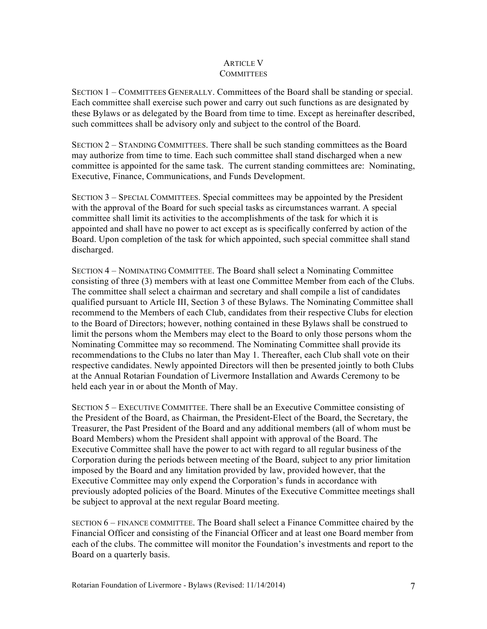## ARTICLE V **COMMITTEES**

SECTION 1 – COMMITTEES GENERALLY. Committees of the Board shall be standing or special. Each committee shall exercise such power and carry out such functions as are designated by these Bylaws or as delegated by the Board from time to time. Except as hereinafter described, such committees shall be advisory only and subject to the control of the Board.

SECTION 2 – STANDING COMMITTEES. There shall be such standing committees as the Board may authorize from time to time. Each such committee shall stand discharged when a new committee is appointed for the same task. The current standing committees are: Nominating, Executive, Finance, Communications, and Funds Development.

SECTION 3 – SPECIAL COMMITTEES. Special committees may be appointed by the President with the approval of the Board for such special tasks as circumstances warrant. A special committee shall limit its activities to the accomplishments of the task for which it is appointed and shall have no power to act except as is specifically conferred by action of the Board. Upon completion of the task for which appointed, such special committee shall stand discharged.

SECTION 4 – NOMINATING COMMITTEE. The Board shall select a Nominating Committee consisting of three (3) members with at least one Committee Member from each of the Clubs. The committee shall select a chairman and secretary and shall compile a list of candidates qualified pursuant to Article III, Section 3 of these Bylaws. The Nominating Committee shall recommend to the Members of each Club, candidates from their respective Clubs for election to the Board of Directors; however, nothing contained in these Bylaws shall be construed to limit the persons whom the Members may elect to the Board to only those persons whom the Nominating Committee may so recommend. The Nominating Committee shall provide its recommendations to the Clubs no later than May 1. Thereafter, each Club shall vote on their respective candidates. Newly appointed Directors will then be presented jointly to both Clubs at the Annual Rotarian Foundation of Livermore Installation and Awards Ceremony to be held each year in or about the Month of May.

SECTION 5 – EXECUTIVE COMMITTEE. There shall be an Executive Committee consisting of the President of the Board, as Chairman, the President-Elect of the Board, the Secretary, the Treasurer, the Past President of the Board and any additional members (all of whom must be Board Members) whom the President shall appoint with approval of the Board. The Executive Committee shall have the power to act with regard to all regular business of the Corporation during the periods between meeting of the Board, subject to any prior limitation imposed by the Board and any limitation provided by law, provided however, that the Executive Committee may only expend the Corporation's funds in accordance with previously adopted policies of the Board. Minutes of the Executive Committee meetings shall be subject to approval at the next regular Board meeting.

SECTION 6 – FINANCE COMMITTEE. The Board shall select a Finance Committee chaired by the Financial Officer and consisting of the Financial Officer and at least one Board member from each of the clubs. The committee will monitor the Foundation's investments and report to the Board on a quarterly basis.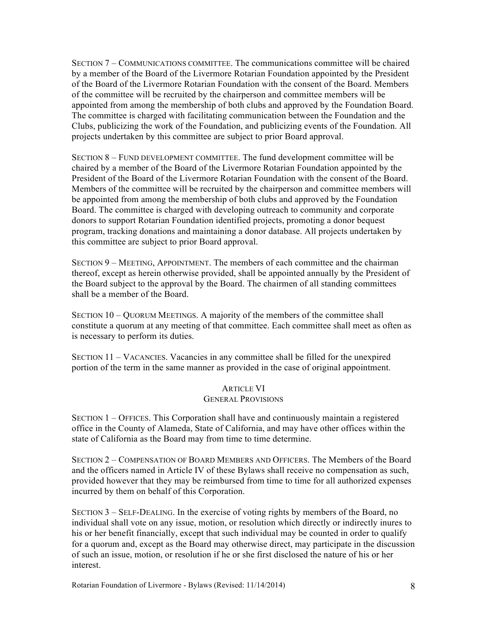SECTION 7 – COMMUNICATIONS COMMITTEE. The communications committee will be chaired by a member of the Board of the Livermore Rotarian Foundation appointed by the President of the Board of the Livermore Rotarian Foundation with the consent of the Board. Members of the committee will be recruited by the chairperson and committee members will be appointed from among the membership of both clubs and approved by the Foundation Board. The committee is charged with facilitating communication between the Foundation and the Clubs, publicizing the work of the Foundation, and publicizing events of the Foundation. All projects undertaken by this committee are subject to prior Board approval.

SECTION 8 – FUND DEVELOPMENT COMMITTEE. The fund development committee will be chaired by a member of the Board of the Livermore Rotarian Foundation appointed by the President of the Board of the Livermore Rotarian Foundation with the consent of the Board. Members of the committee will be recruited by the chairperson and committee members will be appointed from among the membership of both clubs and approved by the Foundation Board. The committee is charged with developing outreach to community and corporate donors to support Rotarian Foundation identified projects, promoting a donor bequest program, tracking donations and maintaining a donor database. All projects undertaken by this committee are subject to prior Board approval.

SECTION 9 – MEETING, APPOINTMENT. The members of each committee and the chairman thereof, except as herein otherwise provided, shall be appointed annually by the President of the Board subject to the approval by the Board. The chairmen of all standing committees shall be a member of the Board.

SECTION 10 – QUORUM MEETINGS. A majority of the members of the committee shall constitute a quorum at any meeting of that committee. Each committee shall meet as often as is necessary to perform its duties.

SECTION 11 – VACANCIES. Vacancies in any committee shall be filled for the unexpired portion of the term in the same manner as provided in the case of original appointment.

## ARTICLE VI GENERAL PROVISIONS

SECTION 1 – OFFICES. This Corporation shall have and continuously maintain a registered office in the County of Alameda, State of California, and may have other offices within the state of California as the Board may from time to time determine.

SECTION 2 – COMPENSATION OF BOARD MEMBERS AND OFFICERS. The Members of the Board and the officers named in Article IV of these Bylaws shall receive no compensation as such, provided however that they may be reimbursed from time to time for all authorized expenses incurred by them on behalf of this Corporation.

SECTION 3 – SELF-DEALING. In the exercise of voting rights by members of the Board, no individual shall vote on any issue, motion, or resolution which directly or indirectly inures to his or her benefit financially, except that such individual may be counted in order to qualify for a quorum and, except as the Board may otherwise direct, may participate in the discussion of such an issue, motion, or resolution if he or she first disclosed the nature of his or her interest.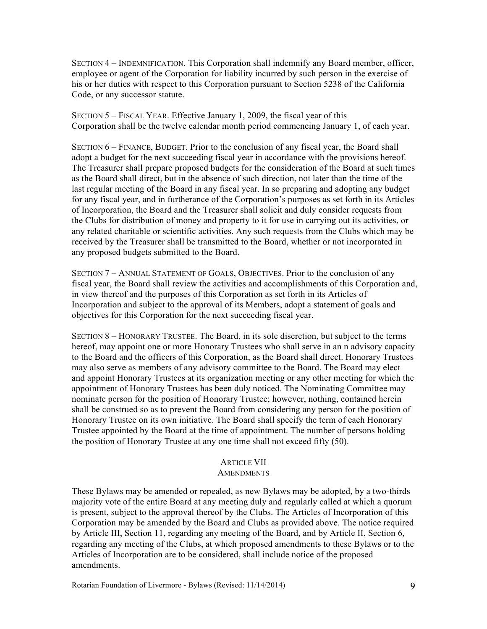SECTION 4 – INDEMNIFICATION. This Corporation shall indemnify any Board member, officer, employee or agent of the Corporation for liability incurred by such person in the exercise of his or her duties with respect to this Corporation pursuant to Section 5238 of the California Code, or any successor statute.

SECTION 5 – FISCAL YEAR. Effective January 1, 2009, the fiscal year of this Corporation shall be the twelve calendar month period commencing January 1, of each year.

SECTION 6 – FINANCE, BUDGET. Prior to the conclusion of any fiscal year, the Board shall adopt a budget for the next succeeding fiscal year in accordance with the provisions hereof. The Treasurer shall prepare proposed budgets for the consideration of the Board at such times as the Board shall direct, but in the absence of such direction, not later than the time of the last regular meeting of the Board in any fiscal year. In so preparing and adopting any budget for any fiscal year, and in furtherance of the Corporation's purposes as set forth in its Articles of Incorporation, the Board and the Treasurer shall solicit and duly consider requests from the Clubs for distribution of money and property to it for use in carrying out its activities, or any related charitable or scientific activities. Any such requests from the Clubs which may be received by the Treasurer shall be transmitted to the Board, whether or not incorporated in any proposed budgets submitted to the Board.

SECTION 7 – ANNUAL STATEMENT OF GOALS, OBJECTIVES. Prior to the conclusion of any fiscal year, the Board shall review the activities and accomplishments of this Corporation and, in view thereof and the purposes of this Corporation as set forth in its Articles of Incorporation and subject to the approval of its Members, adopt a statement of goals and objectives for this Corporation for the next succeeding fiscal year.

SECTION 8 – HONORARY TRUSTEE. The Board, in its sole discretion, but subject to the terms hereof, may appoint one or more Honorary Trustees who shall serve in an n advisory capacity to the Board and the officers of this Corporation, as the Board shall direct. Honorary Trustees may also serve as members of any advisory committee to the Board. The Board may elect and appoint Honorary Trustees at its organization meeting or any other meeting for which the appointment of Honorary Trustees has been duly noticed. The Nominating Committee may nominate person for the position of Honorary Trustee; however, nothing, contained herein shall be construed so as to prevent the Board from considering any person for the position of Honorary Trustee on its own initiative. The Board shall specify the term of each Honorary Trustee appointed by the Board at the time of appointment. The number of persons holding the position of Honorary Trustee at any one time shall not exceed fifty (50).

## ARTICLE VII

## **AMENDMENTS**

These Bylaws may be amended or repealed, as new Bylaws may be adopted, by a two-thirds majority vote of the entire Board at any meeting duly and regularly called at which a quorum is present, subject to the approval thereof by the Clubs. The Articles of Incorporation of this Corporation may be amended by the Board and Clubs as provided above. The notice required by Article III, Section 11, regarding any meeting of the Board, and by Article II, Section 6, regarding any meeting of the Clubs, at which proposed amendments to these Bylaws or to the Articles of Incorporation are to be considered, shall include notice of the proposed amendments.